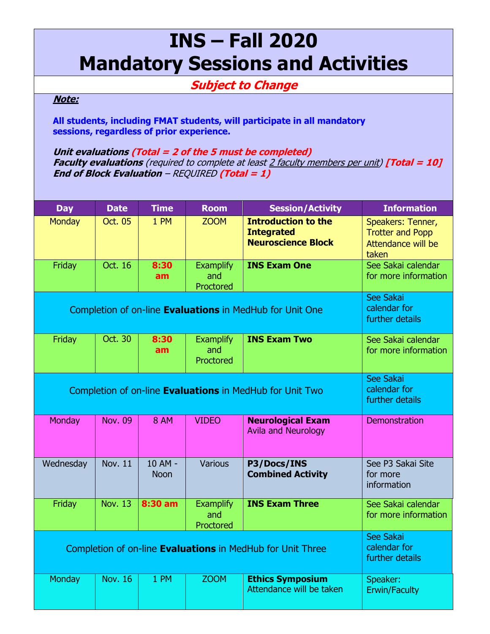## **INS – Fall 2020 Mandatory Sessions and Activities**

## **Subject to Change**

## **Note:**

**All students, including FMAT students, will participate in all mandatory sessions, regardless of prior experience.**

**Unit evaluations (Total = 2 of the 5 must be completed) Faculty evaluations** (required to complete at least 2 faculty members per unit) **[Total = 10] End of Block Evaluation** – REQUIRED **(Total = 1)**

| <b>Day</b>                                                        | <b>Date</b>                                  | <b>Time</b>            | <b>Room</b>                          | <b>Session/Activity</b>                                                      | <b>Information</b>                                                          |
|-------------------------------------------------------------------|----------------------------------------------|------------------------|--------------------------------------|------------------------------------------------------------------------------|-----------------------------------------------------------------------------|
| <b>Monday</b>                                                     | Oct. 05                                      | 1 PM                   | <b>ZOOM</b>                          | <b>Introduction to the</b><br><b>Integrated</b><br><b>Neuroscience Block</b> | Speakers: Tenner,<br><b>Trotter and Popp</b><br>Attendance will be<br>taken |
| Friday                                                            | Oct. 16                                      | 8:30<br>am             | <b>Examplify</b><br>and<br>Proctored | <b>INS Exam One</b>                                                          | See Sakai calendar<br>for more information                                  |
| Completion of on-line <b>Evaluations</b> in MedHub for Unit One   | See Sakai<br>calendar for<br>further details |                        |                                      |                                                                              |                                                                             |
| Friday                                                            | Oct. 30                                      | 8:30<br>am             | <b>Examplify</b><br>and<br>Proctored | <b>INS Exam Two</b>                                                          | See Sakai calendar<br>for more information                                  |
| Completion of on-line Evaluations in MedHub for Unit Two          | See Sakai<br>calendar for<br>further details |                        |                                      |                                                                              |                                                                             |
| Monday                                                            | <b>Nov. 09</b>                               | <b>8 AM</b>            | <b>VIDEO</b>                         | <b>Neurological Exam</b><br><b>Avila and Neurology</b>                       | Demonstration                                                               |
| Wednesday                                                         | <b>Nov. 11</b>                               | 10 AM -<br><b>Noon</b> | Various                              | P3/Docs/INS<br><b>Combined Activity</b>                                      | See P3 Sakai Site<br>for more<br>information                                |
| Friday                                                            | <b>Nov. 13</b>                               | 8:30 am                | <b>Examplify</b><br>and<br>Proctored | <b>INS Exam Three</b>                                                        | See Sakai calendar<br>for more information                                  |
| Completion of on-line <b>Evaluations</b> in MedHub for Unit Three | See Sakai<br>calendar for<br>further details |                        |                                      |                                                                              |                                                                             |
| <b>Monday</b>                                                     | <b>Nov. 16</b>                               | 1 PM                   | <b>ZOOM</b>                          | <b>Ethics Symposium</b><br>Attendance will be taken                          | Speaker:<br><b>Erwin/Faculty</b>                                            |